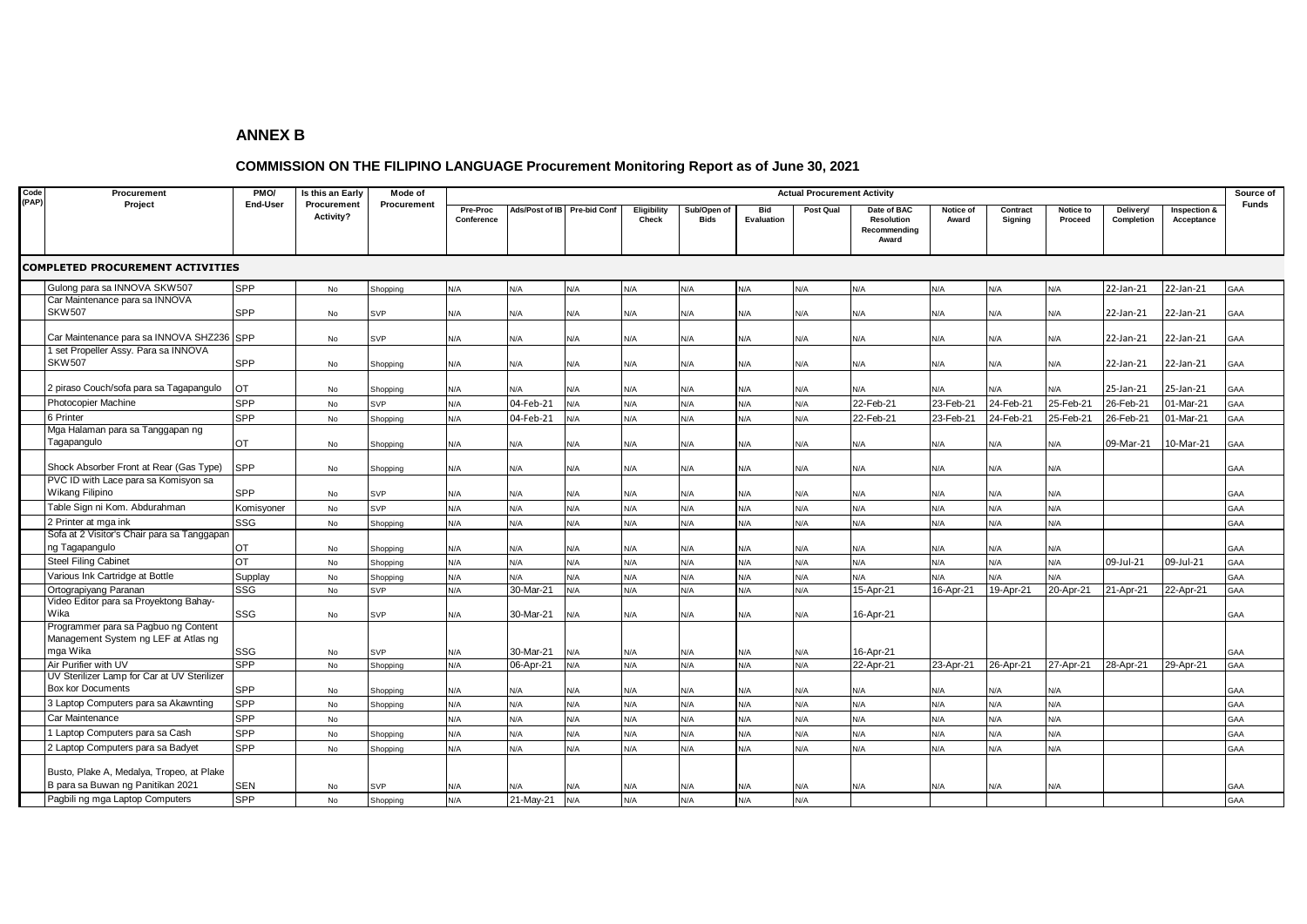## **ANNEX B**

## **COMMISSION ON THE FILIPINO LANGUAGE Procurement Monitoring Report as of June 30, 2021**

| Code  | Procurement<br>Project                                                                   | PMO/<br><b>End-User</b> | Is this an Early<br>Procurement<br>Activity? | Mode of<br>Procurement | <b>Actual Procurement Activity</b> |                |                     |                      |                            |                          |           |                                                    |                    |                     |                      |                         |                            | Source of |
|-------|------------------------------------------------------------------------------------------|-------------------------|----------------------------------------------|------------------------|------------------------------------|----------------|---------------------|----------------------|----------------------------|--------------------------|-----------|----------------------------------------------------|--------------------|---------------------|----------------------|-------------------------|----------------------------|-----------|
| (PAP) |                                                                                          |                         |                                              |                        | Pre-Proc<br>Conference             | Ads/Post of IB | <b>Pre-bid Conf</b> | Eligibility<br>Check | Sub/Open of<br><b>Bids</b> | <b>Bid</b><br>Evaluation | Post Qual | Date of BAC<br>Resolution<br>Recommending<br>Award | Notice of<br>Award | Contract<br>Signing | Notice to<br>Proceed | Delivery/<br>Completion | Inspection &<br>Acceptance | Funds     |
|       | <b>COMPLETED PROCUREMENT ACTIVITIES</b>                                                  |                         |                                              |                        |                                    |                |                     |                      |                            |                          |           |                                                    |                    |                     |                      |                         |                            |           |
|       | Gulong para sa INNOVA SKW507                                                             | <b>SPP</b>              | No                                           | Shopping               | N/A                                | N/A            | N/A                 | N/A                  | N/A                        | N/A                      | N/A       | N/A                                                | N/A                | N/A                 | N/A                  | 22-Jan-21               | 22-Jan-21                  | GAA       |
|       | Car Maintenance para sa INNOVA<br><b>SKW507</b>                                          | <b>SPP</b>              | No                                           | SVP                    | N/A                                | N/A            | N/A                 | N/A                  | N/A                        | N/A                      | N/A       | N/A                                                | N/A                | N/A                 | N/A                  | 22-Jan-21               | 22-Jan-21                  | GAA       |
|       | Car Maintenance para sa INNOVA SHZ236 SPP                                                |                         | No                                           | SVP                    | N/A                                | N/A            | N/A                 | N/A                  | N/A                        | N/A                      | N/A       | N/A                                                | N/A                | N/A                 | N/A                  | 22-Jan-21               | 22-Jan-21                  | GAA       |
|       | 1 set Propeller Assy. Para sa INNOVA<br><b>SKW507</b>                                    | SPP                     | No                                           | Shopping               | N/A                                | N/A            | N/A                 | N/A                  | N/A                        | N/A                      | N/A       | N/A                                                | N/A                | N/A                 | N/A                  | 22-Jan-21               | 22-Jan-21                  | GAA       |
|       | 2 piraso Couch/sofa para sa Tagapangulo                                                  | OT                      | No                                           | Shopping               | N/A                                | N/A            | <b>V/A</b>          | N/A                  | N/A                        | N/A                      | N/A       | N/A                                                | N/A                | N/A                 | N/A                  | 25-Jan-21               | 25-Jan-21                  | GAA       |
|       | <b>Photocopier Machine</b>                                                               | <b>SPP</b>              | No                                           | SVP                    | N/A                                | 04-Feb-21      | N/A                 | N/A                  | N/A                        | N/A                      | N/A       | 22-Feb-21                                          | 23-Feb-21          | 24-Feb-21           | 25-Feb-21            | 26-Feb-21               | 01-Mar-21                  | GAA       |
|       | 6 Printer                                                                                | SPP                     | No                                           | Shopping               | N/A                                | 04-Feb-21      | N/A                 | N/A                  | N/A                        | N/A                      | N/A       | 22-Feb-21                                          | 23-Feb-21          | 24-Feb-21           | 25-Feb-21            | 26-Feb-21               | 01-Mar-21                  | GAA       |
|       | Mga Halaman para sa Tanggapan ng<br>Tagapangulo                                          | <b>OT</b>               | No                                           | Shopping               | N/A                                | N/A            | N/A                 | N/A                  | N/A                        | N/A                      | N/A       | N/A                                                | N/A                | N/A                 | N/A                  | 09-Mar-21               | 10-Mar-21                  | GAA       |
|       | Shock Absorber Front at Rear (Gas Type)                                                  | SPP                     | No                                           | Shopping               | N/A                                | N/A            | N/A                 | N/A                  | N/A                        | N/A                      | N/A       | N/A                                                | N/A                | N/A                 | N/A                  |                         |                            | GAA       |
|       | PVC ID with Lace para sa Komisyon sa<br>Wikang Filipino                                  | <b>SPP</b>              | No                                           | SVP                    | N/A                                | N/A            | N/A                 | N/A                  | N/A                        | N/A                      | N/A       | N/A                                                | N/A                | N/A                 | N/A                  |                         |                            | GAA       |
|       | Table Sign ni Kom. Abdurahman                                                            | Komisyoner              | No                                           | SVP                    | N/A                                | N/A            | N/A                 | N/A                  | N/A                        | N/A                      | N/A       | N/A                                                | N/A                | N/A                 | N/A                  |                         |                            | GAA       |
|       | 2 Printer at mga ink                                                                     | SSG                     | No                                           | Shopping               | N/A                                | N/A            | N/A                 | N/A                  | N/A                        | N/A                      | N/A       | N/A                                                | N/A                | N/A                 | N/A                  |                         |                            | GAA       |
|       | Sofa at 2 Visitor's Chair para sa Tanggapan<br>ng Tagapangulo                            | OT                      | No                                           | Shopping               | N/A                                | N/A            | N/A                 | N/A                  | N/A                        | N/A                      | N/A       | N/A                                                | N/A                | N/A                 | N/A                  |                         |                            | GAA       |
|       | <b>Steel Filing Cabinet</b>                                                              | <b>OT</b>               | No                                           | Shopping               | N/A                                | N/A            | N/A                 | N/A                  | N/A                        | N/A                      | N/A       | N/A                                                | N/A                | N/A                 | N/A                  | 09-Jul-21               | 09-Jul-21                  | GAA       |
|       | Various Ink Cartridge at Bottle                                                          | Supplay                 | No                                           | Shopping               | N/A                                | N/A            | N/A                 | N/A                  | N/A                        | N/A                      | N/A       | N/A                                                | N/A                | N/A                 | N/A                  |                         |                            | GAA       |
|       | Ortograpiyang Paranan                                                                    | SSG                     | <b>No</b>                                    | <b>SVP</b>             | N/A                                | 30-Mar-21      | N/A                 | N/A                  | N/A                        | N/A                      | N/A       | 15-Apr-21                                          | 16-Apr-21          | 19-Apr-21           | 20-Apr-21            | 21-Apr-21               | 22-Apr-21                  | GAA       |
|       | Video Editor para sa Proyektong Bahay-<br>Wika                                           | SSG                     | No                                           | SVP                    | N/A                                | 30-Mar-21      | N/A                 | N/A                  | N/A                        | N/A                      | N/A       | 16-Apr-21                                          |                    |                     |                      |                         |                            | GAA       |
|       | Programmer para sa Pagbuo ng Content<br>Management System ng LEF at Atlas ng<br>mga Wika | SSG                     | No                                           | SVP                    | N/A                                | 30-Mar-21      | N/A                 | N/A                  | N/A                        | N/A                      | N/A       | 16-Apr-21                                          |                    |                     |                      |                         |                            | GAA       |
|       | Air Purifier with UV                                                                     | <b>SPP</b>              | <b>No</b>                                    | Shopping               | N/A                                | 06-Apr-21      | N/A                 | N/A                  | N/A                        | N/A                      | N/A       | 22-Apr-21                                          | 23-Apr-21          | 26-Apr-21           | 27-Apr-21            | 28-Apr-21               | 29-Apr-21                  | GAA       |
|       | UV Sterilizer Lamp for Car at UV Sterilizer<br><b>Box kor Documents</b>                  | <b>SPP</b>              | No                                           | Shopping               | N/A                                | N/A            | N/A                 | N/A                  | N/A                        | N/A                      | N/A       | N/A                                                | N/A                | N/A                 | N/A                  |                         |                            | GAA       |
|       | 3 Laptop Computers para sa Akawnting                                                     | <b>SPP</b>              | No                                           | Shopping               | N/A                                | N/A            | N/A                 | N/A                  | N/A                        | N/A                      | N/A       | N/A                                                | N/A                | N/A                 | N/A                  |                         |                            | GAA       |
|       | Car Maintenance                                                                          | SPP                     | <b>No</b>                                    |                        | N/A                                | N/A            | N/A                 | N/A                  | N/A                        | N/A                      | N/A       | N/A                                                | N/A                | N/A                 | N/A                  |                         |                            | GAA       |
|       | 1 Laptop Computers para sa Cash                                                          | SPP                     | No                                           | Shopping               | N/A                                | N/A            | N/A                 | N/A                  | N/A                        | N/A                      | N/A       | N/A                                                | N/A                | N/A                 | N/A                  |                         |                            | GAA       |
|       | 2 Laptop Computers para sa Badyet                                                        | SPP                     | <b>No</b>                                    | Shopping               | N/A                                | N/A            | N/A                 | N/A                  | N/A                        | N/A                      | N/A       | N/A                                                | N/A                | N/A                 | N/A                  |                         |                            | GAA       |
|       | Busto, Plake A, Medalya, Tropeo, at Plake<br>B para sa Buwan ng Panitikan 2021           | <b>SEN</b>              | No                                           | SVP                    | N/A                                | N/A            | N/A                 | N/A                  | N/A                        | N/A                      | N/A       | N/A                                                | N/A                | N/A                 | N/A                  |                         |                            | GAA       |
|       | Pagbili ng mga Laptop Computers                                                          | <b>SPP</b>              | <b>No</b>                                    | Shopping               | N/A                                | 21-May-21      | N/A                 | N/A                  | N/A                        | N/A                      | N/A       |                                                    |                    |                     |                      |                         |                            | GAA       |